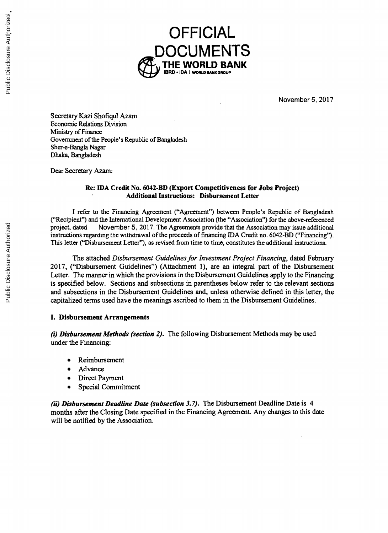

November **5, 2017**

Secretary Kazi Shofiqul Azam Economic Relations Division Ministry of Finance Government of the People's Republic of Bangladesh Sher-e-Bangla Nagar Dhaka, Bangladesh

Dear Secretary Azam:

# **Re: IDA Credit No. 6042-BD (Export Competitiveness for Jobs Project) Additional Instructions: Disbursement Letter**

I refer to the Financing Agreement ("Agreement") between People's Republic of Bangladesh ("Recipient") and the International Development Association (the "Association") for the above-referenced project, dated November 5, 2

The attached *Disbursement Guidelines for Investment Project Financing*, dated February 2017, ("Disbursement Guidelines") (Attachment 1), are an integral part of the Disbursement Letter. The manner in which the provisions is specified below. Sections and subsections in parentheses below refer to the relevant sections and subsections in the Disbursement Guidelines and, unless otherwise defined in this letter, the capitalized terms used have the meanings ascribed to them in the Disbursement Guidelines.

#### **I. Disbursement Arrangements**

*(i) Disbursement Methods (section 2).* The following Disbursement Methods may be used under the Financing:

- **Reimbursement**
- Advance
- Direct Payment
- Special Commitment

*(ii) Disbursement Deadline Date (subsection 3.7).* The Disbursement Deadline Date is 4 months after the Closing Date specified in the Financing Agreement. Any changes to this date will be notified **by** the Association.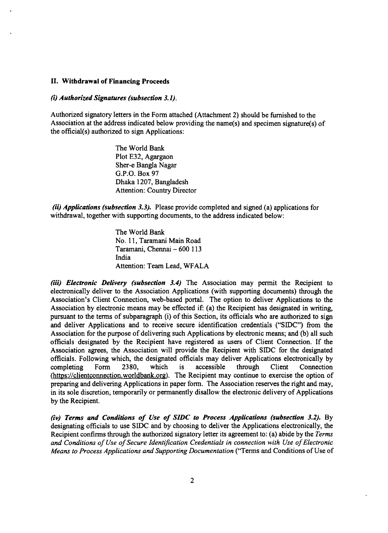#### **II. Withdrawal of Financing Proceeds**

#### *(i) Authorized Signatures (subsection 3.1).*

Authorized signatory letters in the Form attached (Attachment 2) should be furnished to the Association at the address indicated below providing the name(s) and specimen signature(s) of the official(s) authorized to sign A

The World Bank Plot **E32,** Agargaon Sher-e Bangla Nagar **G.P.O.** Box **97** Dhaka **1207,** Bangladesh Attention: Country Director

*(ii) Applications (subsection 3.3).* Please provide completed and signed (a) applications for withdrawal, together with supporting documents, to the address indicated below:

The World Bank No. **11,** Taramani Main Road Taramani, Chennai **- 600 113** India Attention: Team Lead, WFALA

(iii) Electronic Delivery (subsection 3.4) The Association may permit the Recipient to electronically deliver to the Association Applications (with supporting documents) through the Association's Client Connection, web-bas pursuant to the terms of subparagraph (i) of this Section, its officials who are authorized to sign<br>and deliver Applications and to receive secure identification credentials ("SIDC") from the Association for the purpose of delivering such Applications **by** electronic means; and **(b)** all such officials designated **by** the Recipient have registered as users of Client Connection. If the Association agrees, the Association will provide the Recipient with SIDC for the designated<br>officials. Following which, the designated officials may deliver Applications electronically by<br>completing Form 2380, which is acc (https://clientconnection.worldbank.org). The Recipient may continue to exercise the option of preparing and delivering Applications in paper form. The Association reserves the right and may, in its sole discretion, temporarily or permanently disallow the electronic delivery of Applications **by** the Recipient.

*(iv) Terms and Conditions of Use of SIDC to Process Applications (subsection 3.2).* **By** designating officials to use **SIDC** and **by** choosing to deliver the Applications electronically, the Recipient confirms through the authorized signatory letter its agreement to: (a) abide **by** the *Terms and Conditions of Use of Secure Identification Credentials in connection with Use of Electronic Means to Process Applications and Supporting Documentation* ("Terms and Conditions of Use of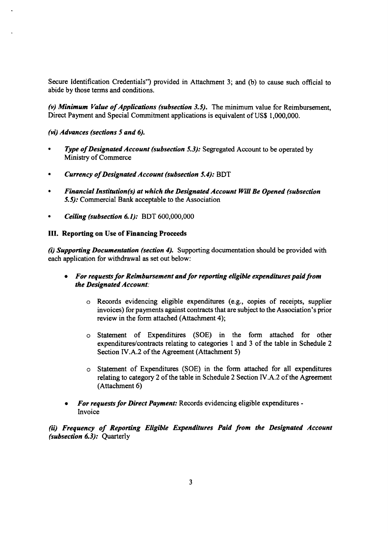Secure Identification Credentials") provided in Attachment **3;** and **(b)** to cause such official to abide **by** those terms and conditions.

*(v) Minimum Value of Applications (subsection 3.5).* The minimum value for Reimbursement, Direct Payment and Special Commitment applications is equivalent of **US\$ 1,000,000.**

*(vi) Advances (sections 5 and 6).*

- **Type of Designated Account (subsection 5.3):** Segregated Account to be operated by Ministry of Commerce
- *\* Currency of Designated Account (subsection 5.4):* BDT
- *\* Financial Institution(s) at which the Designated Account Will Be Opened (subsection 5.5):* Commercial Bank acceptable to the Association
- *\* Ceiling (subsection 6.1):* BDT **600,000,000**

#### **III. Reporting on Use of Financing Proceeds**

*(i) Supporting Documentation (section 4).* Supporting documentation should be provided with each application for withdrawal as set out below:

- *\* For requests for Reimbursement and for reporting eligible expenditures paid from the Designated Account:*
	- o Records evidencing eligible expenditures (e.g., copies of receipts, supplier invoices) for payments against contracts that are subject to the Association's prior review in the form attached (Attachment 4);
	- " Statement of Expenditires **(SOE)** in the form attached for other expenditures/contracts relating to categories **I** and **3** of the table in Schedule 2 Section IV.A.2 of the Agreement (Attachment *5)*
	- o Statement of Expenditures **(SOE)** in the form attached for all expenditures relating to category 2 of the table in Schedule 2 Section IV.A.2 of the Agreement (Attachment **6)**
- *\* For requests for Direct Payment:* Records evidencing eligible expenditures **-** Invoice

*(ii) Frequency of Reporting Eligible Expenditures Paid from the Designated Account (subsection 6.3):* Quarterly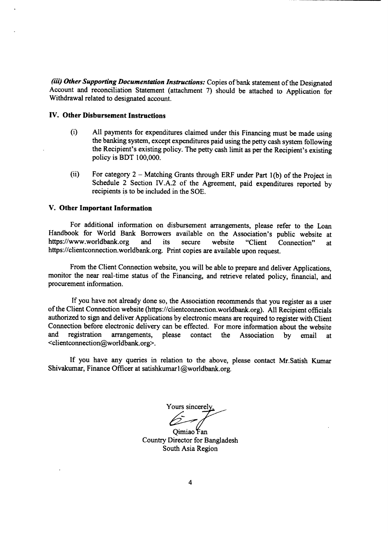*(iii) Other Supporting Documentation Instructions:* Copies of bank statement of the Designated Account and reconciliation Statement (attachment **7)** should be attached to Application for Withdrawal related to designated account.

#### **IV. Other Disbursement Instructions**

- (i) All payments for expenditures claimed under this Financing must be made using the banking system, except expenditures paid using the petty cash system following the Recipient's existing policy. The petty cash limit as
- (ii) For category 2 **-** Matching Grants through ERF under Part **1(b)** of the Project in Schedule 2 Section IV.A.2 of the Agreement, paid expenditures reported **by** recipients is to be included in the **SOE.**

#### **V. Other Important Information**

For additional information on disbursement arrangements, please refer to the Loan Handbook for World Bank Borrowers available on the Association's public website at https://www.worldbank.org and its secure website "Client Connection" at https://www.worldbank.org and its secure website "Client Connection" at https://clientconnection.worldbank.org. Print copies are available upon request.

From the Client Connection website, you will be able to prepare and deliver Applications, monitor the near real-time status of the Financing, and retrieve related policy, financial, and procurement information.

**If** you have not already done so, the Association recommends that you register as a user of the Client Connection website (https://clientconnection.worldbank.org). **All** Recipient officials authorized to sign and deliver Applications **by** electronic means are required to register with Client Connection before electronic delivery can be effected. For more information about the website<br>and registration arrangements, please contact the Association by email at the Association by email at <clientconnection@worldbank.org>.

**If** you have any queries in relation to the above, please contact Mr.Satish Kumar Shivakumar, Finance Officer at satishkumarl @worldbank.org.

Yours sincerely.

Oimiao Fan Country Director for Bangladesh South Asia Region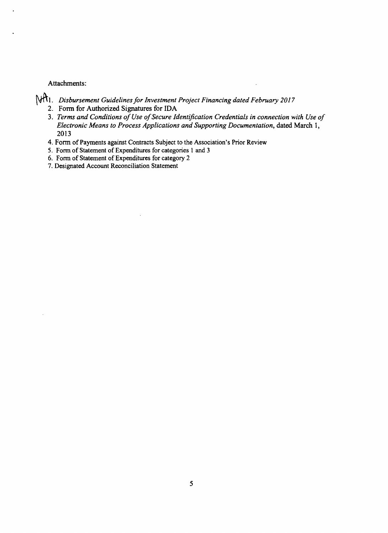#### Attachments:

- *A1. Disbursement Guidelines for Investment Project Financing dated February 2017*
	- 2. Form for Authorized Signatures for **IDA**
	- 3. Terms and Conditions of Use of Secure Identification Credentials in connection with Use of *Electronic Means to Process Applications and Supporting Documentation, dated March 1, 2013*
	- 4. Form of Payments against Contracts Subject to the Association's Prior Review
	- *5.* Form of Statement of Expenditures for categories **I** and **3**
	- **6.** Form of Statement of Expenditures for category 2
	- **7.** Designated Account Reconciliation Statement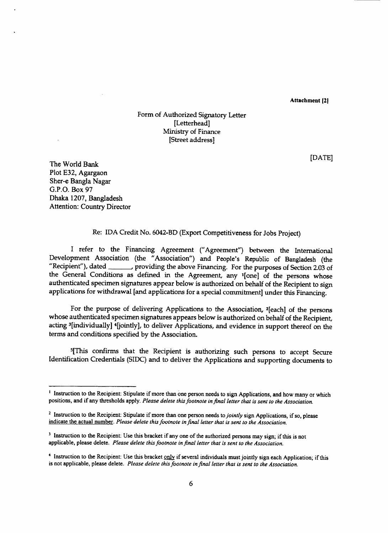Attachment [21

## Form of Authorized Signatory Letter [Letterhead] Ministry of Finance [Street address]

**[DATE]**

The World Bank Plot **E32,** Agargaon Sher-e Bangla Nagar **G.P.O.** Box **97** Dhaka **1207,** Bangladesh Attention: Country Director

#### Re: **IDA** Credit No. 6042-BD (Export Competitiveness for Jobs Project)

I refer to the Financing Agreement ("Agreement") between the International Development Association (the "Association") and People's Republic of Bangladesh (the Development Association (the "Association") and People's Republic of Bangladesh (the "Recipient"), dated providing the above Financing. For the purposes of Section **2.03** of the General Conditions as defined in the Agreement, any '[one] of the persons whose authenticated specimen signatures appear below is authorized on behalf of the Recipient to sign<br>applications for withdrawal [and applications for a special commitment] under this Financing.

For the purpose of delivering Applications to the Association, 2[each] of the persons whose authenticated specimen signatures appears below is authorized on behalf of the Recipient, acting <sup>3</sup>[individually] <sup>4</sup>[jointly], to deliver Applications, and evidence in support thereof on the terms and conditions specified **by** the Association.

5 [This confirms that the Recipient is authorizing such persons to accept Secure Identification Credentials (SIDC) and to deliver the Applications and supporting documents to

<sup>&</sup>lt;sup>1</sup> Instruction to the Recipient: Stipulate if more than one person needs to sign Applications, and how many or which positions, and if any thresholds apply. *Please delete this footnote in final letter that is sent to the Association.*

<sup>&</sup>lt;sup>2</sup> Instruction to the Recipient: Stipulate if more than one person needs to jointly sign Applications, if so, please indicate the actual number. Please delete this footnote in final letter that is sent to the Association.

<sup>&</sup>lt;sup>3</sup> Instruction to the Recipient: Use this bracket if any one of the authorized persons may sign; if this is not applicable, please delete. *Please delete this footnote in final letter that is sent to the Association.*

**<sup>&#</sup>x27;** Instruction to the Recipient: Use this bracket **only** if several individuals must jointly sign each Application; if this is not applicable, please delete. *Please delete this footnote in final letter that is sent to the Association.*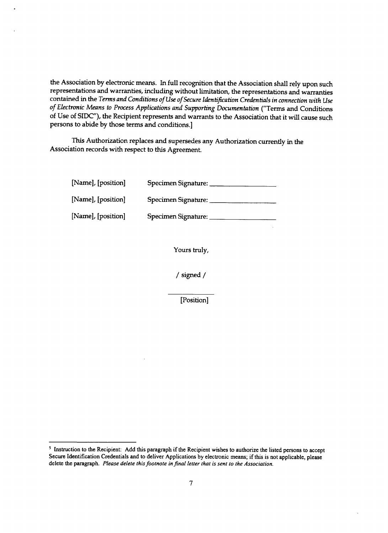the Association **by** electronic means. In full recognition that the Association shall rely upon such representations and warranties, including without limitation, the representations and warranties contained in the *Terms and Conditions of Use of Secure Identification Credentials in connection with Use of Electronic Means to Process Applications and Supporting Documentation* ("Terms and Conditions of Use of SIDC"), the Recipient represents and warrants to the Association that it will cause such persons to abide **by** those terms and conditions.]

This Authorization replaces and supersedes any Authorization currently in the Association records with respect to this Agreement.

| [Name], [position] | Specimen Signature: |
|--------------------|---------------------|
| [Name], [position] | Specimen Signature: |
| [Name], [position] | Specimen Signature: |

Yours truly,

/ signed **/**

[Position]

<sup>&</sup>lt;sup>5</sup> Instruction to the Recipient: Add this paragraph if the Recipient wishes to authorize the listed persons to accept Secure Identification Credentials and to deliver Applications **by** electronic means; if this is not applicable, please delete the paragraph. *Please delete this footnote infinal* letter that *is sent to the Association.*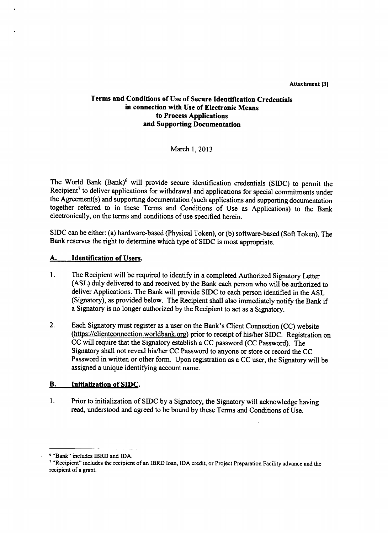**Attachment (31**

## **Terms and Conditions of Use of Secure Identification Credentials in connection with Use of Electronic Means to Process Applications and Supporting Documentation**

March **1, 2013**

The World Bank (Bank)6 will provide secure identification credentials **(SIDC)** to permit the Recipient<sup>7</sup> to deliver applications for withdrawal and applications for special commitments under the Agreement(s) and supporting documentation (such applications and supporting documentation together referred to in these Terms and Conditions of Use as Applications) to the Bank electronically, on the terms and conditions of use specified herein.

SIDC can be either: (a) hardware-based (Physical Token), or **(b)** software-based (Soft Token). The Bank reserves the right to determine which type of **SIDC** is most appropriate.

## **A. Identification of** Users.

- 1. The Recipient will be required to identify in a completed Authorized Signatory Letter **(ASL)** duly delivered to and received **by** the Bank each person who will be authorized to deliver Applications. The Bank will provide SIDC to each person identified in the **ASL** (Signatory), as provided below. The Recipient shall also immediately notify the Bank if a Signatory is no longer authorized **by** the Recipient to act as a Signatory.
- 2. Each Signatory must register as a user on the Bank's Client Connection **(CC)** website (https://clientconnection.worldbank.org) prior to receipt of his/her **SIDC.** Registration on **CC** will require that the Signatory establish a **CC** password **(CC** Password). The Signatory shall not reveal his/her **CC** Password to anyone or store or record the **CC** Password in written or other form. Upon registration as a **CC** user, the Signatory will be assigned a unique identifying account name.

## B. Initialization **of SIDC.**

1. Prior to initialization of SIDC **by** a Signatory, the Signatory will acknowledge having read, understood and agreed to be bound **by** these Terms and Conditions of Use.

**<sup>6</sup>** "Bank" includes IBRD and **IDA.**

<sup>&</sup>quot;Recipient" includes the recipient of an IBRD loan, **IDA** credit, or Project Preparation Facility advance and the recipient of a grant.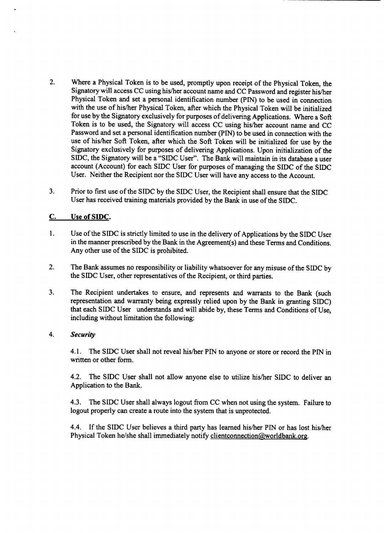- 2. Where a Physical Token is to be used, promptly upon receipt of the Physical Token, the Signatory will access **CC** using his/her account name and **CC** Password and register his/her Physical Token and set a personal identification number **(PIN)** to be used in connection with the use of his/her Physical Token, after which the Physical Token will be initialized for use **by** the Signatory exclusively for purposes of delivering Applications. Where a Soft Token is to be used, the Signatory will access **CC** using his/her account name and **CC** Password and set a personal identification number **(PIN)** to be used in connection with the use of his/her Soft Token, after which the Soft Token will be initialized for use **by** the Signatory exclusively for purposes of delivering Applications. Upon initialization of the **SIDC,** the Signatory will be a "SIDC User". The Bank will maintain in its database a user account (Account) for each **SIDC** User for purposes of managing the **SIDC** of the **SIDC** User. Neither the Recipient nor the **SIDC** User will have any access to the Account.
- **3.** Prior to first use of the **SIDC by** the SIDC User, the Recipient shall ensure that the **SIDC** User has received training materials provided **by** the Bank in use of the **SIDC.**

## **C. Use of SIDC.**

- 1. Use of the **SIDC** is strictly limited to use in the delivery of Applications **by** the SIDC User in the manner prescribed **by** the Bank in the Agreement(s) and these Terms and Conditions. Any other use of the **SIDC** is prohibited.
- 2. The Bank assumes no responsibility or liability whatsoever for any misuse of the SIDC **by** the **SIDC** User, other representatives of the Recipient, or third parties.
- **3.** The Recipient undertakes to ensure, and represents and warrants to the Bank (such representation and warranty being expressly relied upon **by** the Bank in granting **SIDC)** that each **SIDC** User understands and will abide **by,** these Terms and Conditions of Use, including without limitation the following:

## *4. Security*

4.1. The **SIDC** User shall not reveal his/her PIN to anyone or store or record the **PIN** in written or other form.

4.2. The **SIDC** User shall not allow anyone else to utilize his/her SIDC to deliver an Application to the Bank.

4.3. The **SIDC** User shall always logout from **CC** when not using the system. Failure to logout properly can create a route into the system that is unprotected.

4.4. **If** the **SIDC** User believes a third party has learned his/her PIN or has lost his/her Physical Token he/she shall immediately notify clientconnection@worldbank.org.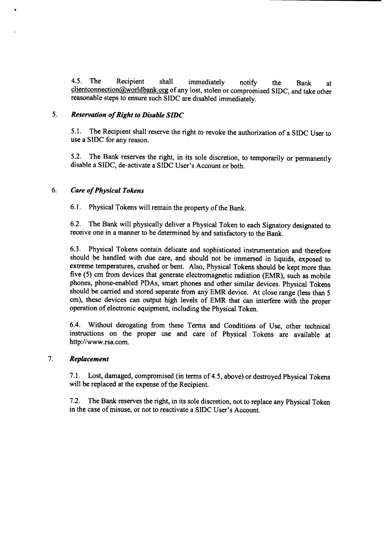4.5. The Recipient shall immediately notify the Bank at clientconnection@worldbank.org of any lost, stolen or compromised SIDC, and take other reasonable steps to ensure such SIDC are disabled immediately.

## *5. Reservation of Right to Disable SIDC*

**5.1.** The Recipient shall reserve the right to revoke the authorization of a **SIDC** User to use a **SIDC** for any reason.

**5.2.** The Bank reserves the right, in its sole discretion, to temporarily or permanently disable a **SIDC,** de-activate a **SIDC** User's Account or both.

#### **6.** *Care of Physical Tokens*

**6.1.** Physical Tokens will remain the property of the Bank.

**6.2.** The Bank will physically deliver a Physical Token to each Signatory designated to receive one in a manner to be determined **by** and satisfactory to the Bank.

**6.3.** Physical Tokens contain delicate and sophisticated instrumentation and therefore should be handled with due care, and should not be immersed in liquids, exposed to extreme temperatures, crushed or bent. Also, Physical Tokens should be kept more than five **(5)** cm from devices that generate electromagnetic radiation (EMR), such as mobile phones, phone-enabled PDAs, smart phones and other similar devices. Physical Tokens should be carried and stored separate from any EMR device. At close range (less than *<sup>5</sup>* cm), these devices can output high levels of EMR that can interfere with the proper operation of electronic equipment, including the Physical Token.

6.4. Without derogating from these Terms and Conditions of Use, other technical instructions on the proper use and care of Physical Tokens are available at http://www.rsa.com.

## **7.** *Replacement*

**7.1.** Lost, damaged, compromised (in terms of 4.5, above) or destroyed Physical Tokens will be replaced at the expense of the Recipient.

**7.2.** The Bank reserves the right, in its sole discretion, not to replace any Physical Token in the case of misuse, or not to reactivate a SIDC User's Account.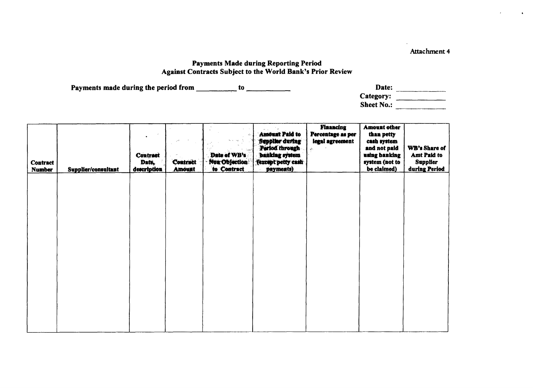Attachment 4

## Payments Made during Reporting Period Against Contracts Subject to the World Bank's Prior Review

Payments made during the period from \_\_\_\_\_\_\_\_\_\_\_ to \_\_\_\_\_\_\_\_\_\_\_\_\_

| Date:             |  |
|-------------------|--|
| Category:         |  |
| <b>Sheet No.:</b> |  |

| <b>Contract</b><br><b>Number</b> | Supplier/consultant | <b>Contract</b><br>Date,<br>description | Contract<br><b>Amount</b> | d.<br>Date of WB's<br>Non Objection<br>to Contract | <b>Amount Paid to</b><br>Supplier during<br>Period through<br>banking system<br>(except petty cash<br>payments) | <b>Financing</b><br>Percentage as per<br>legal agreement<br>á. | <b>Amount other</b><br>than petty<br>cash system<br>and not paid<br>using banking<br>system (not to<br>be claimed) | WB's Share of<br>Amt Paid to<br><b>Supplier</b><br>during Period |
|----------------------------------|---------------------|-----------------------------------------|---------------------------|----------------------------------------------------|-----------------------------------------------------------------------------------------------------------------|----------------------------------------------------------------|--------------------------------------------------------------------------------------------------------------------|------------------------------------------------------------------|
|                                  |                     |                                         |                           |                                                    |                                                                                                                 |                                                                |                                                                                                                    |                                                                  |
|                                  |                     |                                         |                           |                                                    |                                                                                                                 |                                                                |                                                                                                                    |                                                                  |
|                                  |                     |                                         |                           |                                                    |                                                                                                                 |                                                                |                                                                                                                    |                                                                  |
|                                  |                     |                                         |                           |                                                    |                                                                                                                 |                                                                |                                                                                                                    |                                                                  |
|                                  |                     |                                         |                           |                                                    |                                                                                                                 |                                                                |                                                                                                                    |                                                                  |
|                                  |                     |                                         |                           |                                                    |                                                                                                                 |                                                                |                                                                                                                    |                                                                  |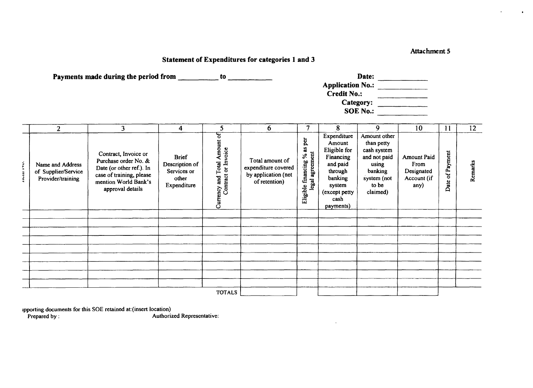#### **Attachment 5**

 $\bullet$ 

## **Statement of Expenditures for categories 1 and 3**

|                    |                                                              | Payments made during the period from _________                                                                                                   |                                                                       | to                                                  |                                                                                |                                                                            | <b>Credit No.:</b>                                                                                                                   | Date:<br>Category:<br>SOE No.: $\qquad \qquad$                                                                    |                                                                 |                    |                  |
|--------------------|--------------------------------------------------------------|--------------------------------------------------------------------------------------------------------------------------------------------------|-----------------------------------------------------------------------|-----------------------------------------------------|--------------------------------------------------------------------------------|----------------------------------------------------------------------------|--------------------------------------------------------------------------------------------------------------------------------------|-------------------------------------------------------------------------------------------------------------------|-----------------------------------------------------------------|--------------------|------------------|
|                    | $\overline{2}$                                               | $\overline{\mathbf{3}}$                                                                                                                          | 4                                                                     | 5                                                   | 6                                                                              | $\overline{7}$                                                             | 8                                                                                                                                    | 9                                                                                                                 | 10                                                              | 11                 | 12 <sup>12</sup> |
| <b>LUMBER 250.</b> | Name and Address<br>of Supplier/Service<br>Provider/training | Contract, Invoice or<br>Purchase order No. &<br>Date (or other ref.). In<br>case of training, please<br>mention World Bank's<br>approval details | <b>Brief</b><br>Description of<br>Services or<br>other<br>Expenditure | Currency and Total Amount of<br>Contract or Invoice | Total amount of<br>expenditure covered<br>by application (net<br>of retention) | as per<br>legal agreement<br>$\mathcal{S}_{\bullet}$<br>Eligible financing | Expenditure<br>Amount<br>Eligible for<br>Financing<br>and paid<br>through<br>banking<br>system<br>(except petty<br>cash<br>payments) | Amount other<br>than petty<br>cash system<br>and not paid<br>using<br>banking<br>system (not<br>to be<br>claimed) | <b>Amount Paid</b><br>From<br>Designated<br>Account (if<br>any) | of Payment<br>Date | Remarks          |
|                    |                                                              |                                                                                                                                                  |                                                                       |                                                     |                                                                                |                                                                            |                                                                                                                                      |                                                                                                                   |                                                                 |                    |                  |
|                    |                                                              |                                                                                                                                                  |                                                                       |                                                     |                                                                                |                                                                            |                                                                                                                                      |                                                                                                                   |                                                                 |                    |                  |
|                    |                                                              |                                                                                                                                                  |                                                                       |                                                     |                                                                                |                                                                            |                                                                                                                                      |                                                                                                                   |                                                                 |                    |                  |
|                    |                                                              |                                                                                                                                                  |                                                                       |                                                     |                                                                                |                                                                            |                                                                                                                                      |                                                                                                                   |                                                                 |                    |                  |
|                    |                                                              |                                                                                                                                                  |                                                                       |                                                     |                                                                                |                                                                            |                                                                                                                                      |                                                                                                                   |                                                                 |                    |                  |
|                    |                                                              |                                                                                                                                                  |                                                                       |                                                     |                                                                                |                                                                            |                                                                                                                                      |                                                                                                                   |                                                                 |                    |                  |
|                    |                                                              |                                                                                                                                                  |                                                                       | <b>TOTALS</b>                                       |                                                                                |                                                                            |                                                                                                                                      |                                                                                                                   |                                                                 |                    |                  |

 $\Delta$ 

apporting documents for this **SOE** retained at:(insert location)

**Prepared by: Authorized Representative:**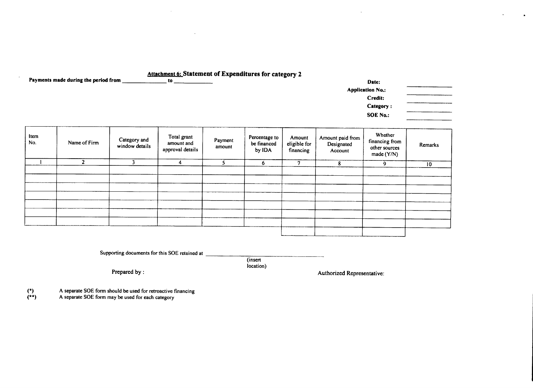## Attachment 6: Statement of Expenditures for category 2

Payments made during the period from

| Date:                   |  |
|-------------------------|--|
| <b>Application No.:</b> |  |
| Credit:                 |  |
| Category:               |  |
| <b>SOE No.:</b>         |  |
|                         |  |

 $\Delta$ 

| Item<br>No. | Name of Firm | Category and<br>window details | Total grant<br>amount and<br>approval details | Payment<br>amount | Percentage to<br>be financed<br>by IDA | Amount<br>eligible for<br>financing | Amount paid from<br>Designated<br>Account | Whether<br>financing from<br>other sources<br>made (Y/N) | Remarks         |
|-------------|--------------|--------------------------------|-----------------------------------------------|-------------------|----------------------------------------|-------------------------------------|-------------------------------------------|----------------------------------------------------------|-----------------|
|             |              |                                | 4                                             |                   | O.                                     | n                                   | 8                                         | 9                                                        | 10 <sub>1</sub> |
|             |              |                                |                                               |                   |                                        |                                     |                                           |                                                          |                 |
|             |              |                                |                                               |                   |                                        |                                     |                                           |                                                          |                 |
|             |              |                                |                                               |                   |                                        |                                     |                                           |                                                          |                 |
|             |              |                                |                                               |                   |                                        |                                     |                                           |                                                          |                 |
|             |              |                                |                                               |                   |                                        |                                     |                                           |                                                          |                 |
|             |              |                                |                                               |                   |                                        |                                     |                                           |                                                          |                 |
|             |              |                                |                                               |                   |                                        |                                     |                                           |                                                          |                 |
|             |              |                                |                                               |                   |                                        |                                     |                                           |                                                          |                 |
|             |              |                                |                                               |                   |                                        |                                     |                                           |                                                          |                 |
|             |              |                                |                                               |                   |                                        |                                     |                                           |                                                          |                 |

location)

Supporting documents for this **SOE** retained at (insert

Prepared by: **Authorized Representative: Authorized Representative:** 

(\*) **A** separate **SOE** form should be used for retroactive financing

(\*\*) **A** separate **SOE** form may be used for each category